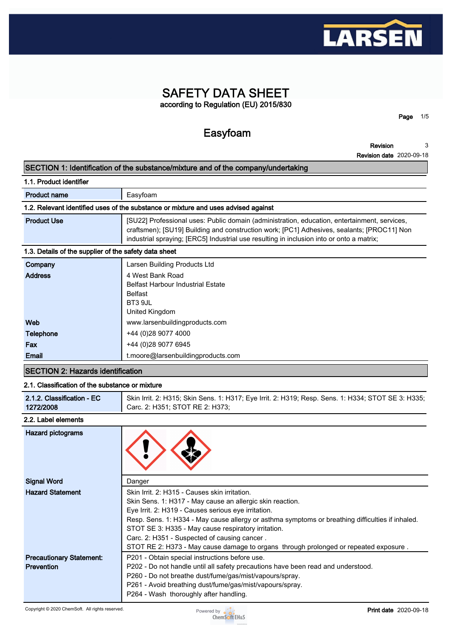

## **SAFETY DATA SHEET according to Regulation (EU) 2015/830**

**Easyfoam**

**Revision**

**Page 1/5**

**Revision date 2020-09-18 3**

### **SECTION 1: Identification of the substance/mixture and of the company/undertaking**

|  |  | 1.1. Product identifier |  |
|--|--|-------------------------|--|
|--|--|-------------------------|--|

### **1.2. Relevant identified uses of the substance or mixture and uses advised against**

**Easyfoam** 

| [SU22] Professional uses: Public domain (administration, education, entertainment, services,<br><b>Product Use</b> |                                                                                            |  |  |  |
|--------------------------------------------------------------------------------------------------------------------|--------------------------------------------------------------------------------------------|--|--|--|
|                                                                                                                    |                                                                                            |  |  |  |
|                                                                                                                    | craftsmen); [SU19] Building and construction work; [PC1] Adhesives, sealants; [PROC11] Non |  |  |  |
|                                                                                                                    | industrial spraying; [ERC5] Industrial use resulting in inclusion into or onto a matrix;   |  |  |  |

### **1.3. Details of the supplier of the safety data sheet**

| Company          | Larsen Building Products Ltd             |
|------------------|------------------------------------------|
| <b>Address</b>   | 4 West Bank Road                         |
|                  | <b>Belfast Harbour Industrial Estate</b> |
|                  | <b>Belfast</b>                           |
|                  | BT3 9JL                                  |
|                  | United Kingdom                           |
| Web              | www.larsenbuildingproducts.com           |
| <b>Telephone</b> | +44 (0) 28 9077 4000                     |
| Fax              | +44 (0) 28 9077 6945                     |
| Email            | t.moore@larsenbuildingproducts.com       |
|                  |                                          |

### **SECTION 2: Hazards identification**

### **2.1. Classification of the substance or mixture**

| 2.1.2. Classification - EC | Skin Irrit. 2: H315; Skin Sens. 1: H317; Eye Irrit. 2: H319; Resp. Sens. 1: H334; STOT SE 3: H335; |
|----------------------------|----------------------------------------------------------------------------------------------------|
| 1272/2008                  | Carc. 2: H351; STOT RE 2: H373;                                                                    |

#### **2.2. Label elements**

| Hazard pictograms               |                                                                                                  |
|---------------------------------|--------------------------------------------------------------------------------------------------|
| <b>Signal Word</b>              | Danger                                                                                           |
| <b>Hazard Statement</b>         | Skin Irrit. 2: H315 - Causes skin irritation.                                                    |
|                                 | Skin Sens. 1: H317 - May cause an allergic skin reaction.                                        |
|                                 | Eye Irrit. 2: H319 - Causes serious eye irritation.                                              |
|                                 | Resp. Sens. 1: H334 - May cause allergy or asthma symptoms or breathing difficulties if inhaled. |
|                                 | STOT SE 3: H335 - May cause respiratory irritation.                                              |
|                                 | Carc. 2: H351 - Suspected of causing cancer.                                                     |
|                                 | STOT RE 2: H373 - May cause damage to organs through prolonged or repeated exposure.             |
| <b>Precautionary Statement:</b> | P201 - Obtain special instructions before use.                                                   |
| <b>Prevention</b>               | P202 - Do not handle until all safety precautions have been read and understood.                 |
|                                 | P260 - Do not breathe dust/fume/gas/mist/vapours/spray.                                          |
|                                 | P261 - Avoid breathing dust/fume/gas/mist/vapours/spray.                                         |
|                                 | P264 - Wash thoroughly after handling.                                                           |

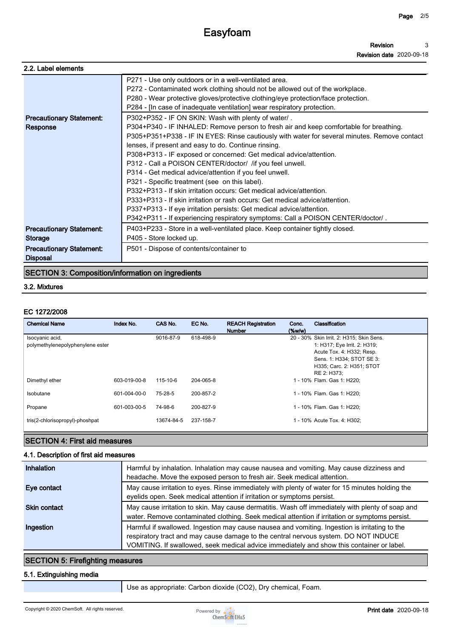| 2.2. Label elements                                |                                                                                                                                                                                                                                                                                                                                                                                                                                                                                                                                                                                                                                                                                                                                                                                                                                                                          |
|----------------------------------------------------|--------------------------------------------------------------------------------------------------------------------------------------------------------------------------------------------------------------------------------------------------------------------------------------------------------------------------------------------------------------------------------------------------------------------------------------------------------------------------------------------------------------------------------------------------------------------------------------------------------------------------------------------------------------------------------------------------------------------------------------------------------------------------------------------------------------------------------------------------------------------------|
|                                                    | P271 - Use only outdoors or in a well-ventilated area.<br>P272 - Contaminated work clothing should not be allowed out of the workplace.<br>P280 - Wear protective gloves/protective clothing/eye protection/face protection.<br>P284 - [In case of inadequate ventilation] wear respiratory protection.                                                                                                                                                                                                                                                                                                                                                                                                                                                                                                                                                                  |
| <b>Precautionary Statement:</b><br>Response        | P302+P352 - IF ON SKIN: Wash with plenty of water/.<br>P304+P340 - IF INHALED: Remove person to fresh air and keep comfortable for breathing.<br>P305+P351+P338 - IF IN EYES: Rinse cautiously with water for several minutes. Remove contact<br>lenses, if present and easy to do. Continue rinsing.<br>P308+P313 - IF exposed or concerned: Get medical advice/attention.<br>P312 - Call a POISON CENTER/doctor/ /if you feel unwell.<br>P314 - Get medical advice/attention if you feel unwell.<br>P321 - Specific treatment (see on this label).<br>P332+P313 - If skin irritation occurs: Get medical advice/attention.<br>P333+P313 - If skin irritation or rash occurs: Get medical advice/attention.<br>P337+P313 - If eye irritation persists: Get medical advice/attention.<br>P342+P311 - If experiencing respiratory symptoms: Call a POISON CENTER/doctor/. |
| <b>Precautionary Statement:</b><br>Storage         | P403+P233 - Store in a well-ventilated place. Keep container tightly closed.<br>P405 - Store locked up.                                                                                                                                                                                                                                                                                                                                                                                                                                                                                                                                                                                                                                                                                                                                                                  |
| <b>Precautionary Statement:</b><br><b>Disposal</b> | P501 - Dispose of contents/container to                                                                                                                                                                                                                                                                                                                                                                                                                                                                                                                                                                                                                                                                                                                                                                                                                                  |

### **SECTION 3: Composition/information on ingredients**

### **3.2. Mixtures**

### **EC 1272/2008**

| <b>Chemical Name</b>                                | Index No.    | CAS No.        | EC No.    | <b>REACH Registration</b><br><b>Number</b> | Conc.<br>$(\%w/w)$ | Classification                                                                                                                                                                 |
|-----------------------------------------------------|--------------|----------------|-----------|--------------------------------------------|--------------------|--------------------------------------------------------------------------------------------------------------------------------------------------------------------------------|
| Isocyanic acid,<br>polymethylenepolyphenylene ester |              | 9016-87-9      | 618-498-9 |                                            |                    | 20 - 30% Skin Irrit. 2: H315; Skin Sens.<br>1: H317; Eye Irrit. 2: H319;<br>Acute Tox. 4: H332; Resp.<br>Sens. 1: H334; STOT SE 3:<br>H335; Carc. 2: H351; STOT<br>RE 2: H373; |
| Dimethyl ether                                      | 603-019-00-8 | $115 - 10 - 6$ | 204-065-8 |                                            |                    | 1 - 10% Flam. Gas 1: H220:                                                                                                                                                     |
| Isobutane                                           | 601-004-00-0 | 75-28-5        | 200-857-2 |                                            |                    | 1 - 10% Flam. Gas 1: H220;                                                                                                                                                     |
| Propane                                             | 601-003-00-5 | 74-98-6        | 200-827-9 |                                            |                    | 1 - 10% Flam. Gas 1: H220:                                                                                                                                                     |
| tris(2-chlorisopropyl)-phoshpat                     |              | 13674-84-5     | 237-158-7 |                                            |                    | 1 - 10% Acute Tox. 4: H302:                                                                                                                                                    |

## **SECTION 4: First aid measures**

### **4.1. Description of first aid measures**

| Inhalation          | Harmful by inhalation. Inhalation may cause nausea and vomiting. May cause dizziness and<br>headache. Move the exposed person to fresh air. Seek medical attention.                                                                                                               |
|---------------------|-----------------------------------------------------------------------------------------------------------------------------------------------------------------------------------------------------------------------------------------------------------------------------------|
| Eye contact         | May cause irritation to eyes. Rinse immediately with plenty of water for 15 minutes holding the<br>eyelids open. Seek medical attention if irritation or symptoms persist.                                                                                                        |
| <b>Skin contact</b> | May cause irritation to skin. May cause dermatitis. Wash off immediately with plenty of soap and<br>water. Remove contaminated clothing. Seek medical attention if irritation or symptoms persist.                                                                                |
| Ingestion           | Harmful if swallowed. Ingestion may cause nausea and vomiting. Ingestion is irritating to the<br>respiratory tract and may cause damage to the central nervous system. DO NOT INDUCE<br>VOMITING. If swallowed, seek medical advice immediately and show this container or label. |

### **SECTION 5: Firefighting measures**

### **5.1. Extinguishing media**

**Use as appropriate: Carbon dioxide (CO2), Dry chemical, Foam.**

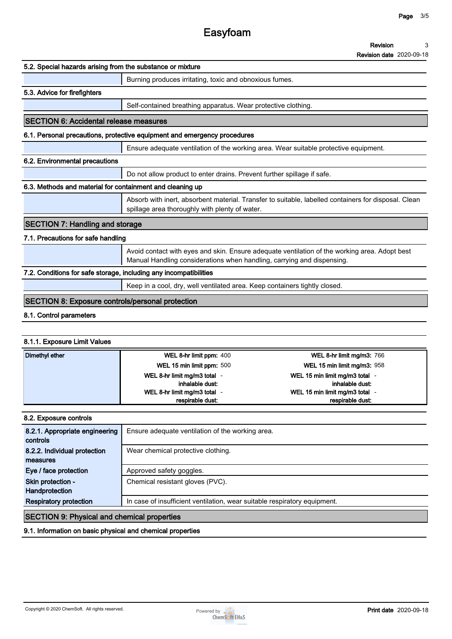# **Easyfoam**

#### **Revision 3**

**Revision date 2020-09-18**

| 5.2. Special hazards arising from the substance or mixture               |                                                                                                                                                                         |  |  |  |  |
|--------------------------------------------------------------------------|-------------------------------------------------------------------------------------------------------------------------------------------------------------------------|--|--|--|--|
|                                                                          | Burning produces irritating, toxic and obnoxious fumes.                                                                                                                 |  |  |  |  |
| 5.3. Advice for firefighters                                             |                                                                                                                                                                         |  |  |  |  |
|                                                                          | Self-contained breathing apparatus. Wear protective clothing.                                                                                                           |  |  |  |  |
| <b>SECTION 6: Accidental release measures</b>                            |                                                                                                                                                                         |  |  |  |  |
| 6.1. Personal precautions, protective equipment and emergency procedures |                                                                                                                                                                         |  |  |  |  |
|                                                                          | Ensure adequate ventilation of the working area. Wear suitable protective equipment.                                                                                    |  |  |  |  |
| 6.2. Environmental precautions                                           |                                                                                                                                                                         |  |  |  |  |
|                                                                          | Do not allow product to enter drains. Prevent further spillage if safe.                                                                                                 |  |  |  |  |
| 6.3. Methods and material for containment and cleaning up                |                                                                                                                                                                         |  |  |  |  |
|                                                                          | Absorb with inert, absorbent material. Transfer to suitable, labelled containers for disposal. Clean<br>spillage area thoroughly with plenty of water.                  |  |  |  |  |
| <b>SECTION 7: Handling and storage</b>                                   |                                                                                                                                                                         |  |  |  |  |
| 7.1. Precautions for safe handling                                       |                                                                                                                                                                         |  |  |  |  |
|                                                                          | Avoid contact with eyes and skin. Ensure adequate ventilation of the working area. Adopt best<br>Manual Handling considerations when handling, carrying and dispensing. |  |  |  |  |
| 7.2. Conditions for safe storage, including any incompatibilities        |                                                                                                                                                                         |  |  |  |  |
|                                                                          | Keep in a cool, dry, well ventilated area. Keep containers tightly closed.                                                                                              |  |  |  |  |
| <b>SECTION 8: Exposure controls/personal protection</b>                  |                                                                                                                                                                         |  |  |  |  |
| 8.1. Control parameters                                                  |                                                                                                                                                                         |  |  |  |  |
|                                                                          |                                                                                                                                                                         |  |  |  |  |
| 8.1.1. Exposure Limit Values                                             |                                                                                                                                                                         |  |  |  |  |

| Dimethyl ether | WEL 8-hr limit ppm: 400    | <b>WEL 8-hr limit mg/m3: 766</b> |
|----------------|----------------------------|----------------------------------|
|                | WEL 15 min limit ppm: 500  | WEL 15 min limit mg/m3: 958      |
|                | WEL 8-hr limit mg/m3 total | WEL 15 min limit mg/m3 total -   |
|                | inhalable dust:            | inhalable dust:                  |
|                | WEL 8-hr limit mg/m3 total | WEL 15 min limit mg/m3 total -   |
|                | respirable dust:           | respirable dust:                 |

### **8.2. Exposure controls**

| 8.2.1. Appropriate engineering<br>controls | Ensure adequate ventilation of the working area.                          |
|--------------------------------------------|---------------------------------------------------------------------------|
| 8.2.2. Individual protection               | Wear chemical protective clothing.                                        |
| measures                                   |                                                                           |
| Eye / face protection                      | Approved safety goggles.                                                  |
| Skin protection -                          | Chemical resistant gloves (PVC).                                          |
| Handprotection                             |                                                                           |
| <b>Respiratory protection</b>              | In case of insufficient ventilation, wear suitable respiratory equipment. |
|                                            | . .                                                                       |

### **SECTION 9: Physical and chemical properties**

**9.1. Information on basic physical and chemical properties**

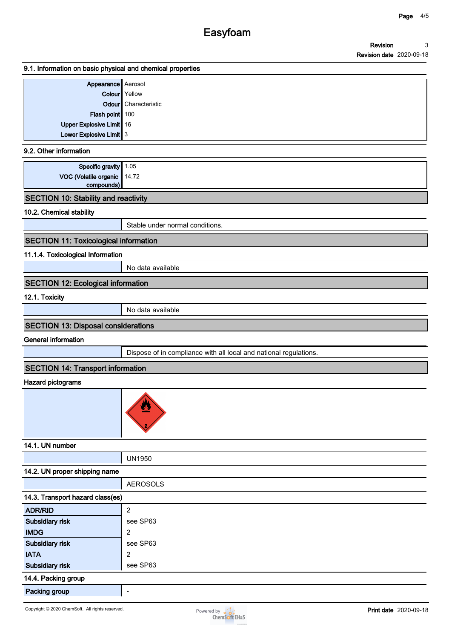#### **Revision Revision date 2020-09-18 3**

### **9.1. Information on basic physical and chemical properties**

| Appearance Aerosol                                  |                      |
|-----------------------------------------------------|----------------------|
|                                                     | Colour Yellow        |
|                                                     | Odour Characteristic |
| Flash point 100                                     |                      |
| Upper Explosive Limit 16<br>Lower Explosive Limit 3 |                      |
|                                                     |                      |

### **9.2. Other information**

| Specific gravity 1.05                     |   |
|-------------------------------------------|---|
|                                           |   |
| VOC (Volatile organic 14.72<br>compounds) |   |
|                                           | . |

### **SECTION 10: Stability and reactivity**

**10.2. Chemical stability**

**Stable under normal conditions.**

### **SECTION 11: Toxicological information**

### **11.1.4. Toxicological Information**

**No data available**

### **SECTION 12: Ecological information**

**12.1. Toxicity**

**No data available**

### **SECTION 13: Disposal considerations**

**General information**

**Dispose of in compliance with all local and national regulations.**

### **SECTION 14: Transport information**

### **Hazard pictograms**



### **14.1. UN number**

### **14.2. UN proper shipping name**

|                                  | <b>AEROSOLS</b> |  |
|----------------------------------|-----------------|--|
| 14.3. Transport hazard class(es) |                 |  |
| <b>ADR/RID</b>                   | 2               |  |
| Subsidiary risk                  | see SP63        |  |
| <b>IMDG</b>                      | 2               |  |
| Subsidiary risk                  | see SP63        |  |
| <b>IATA</b>                      | 2               |  |
| Subsidiary risk                  | see SP63        |  |
| 14.4. Packing group              |                 |  |
|                                  |                 |  |